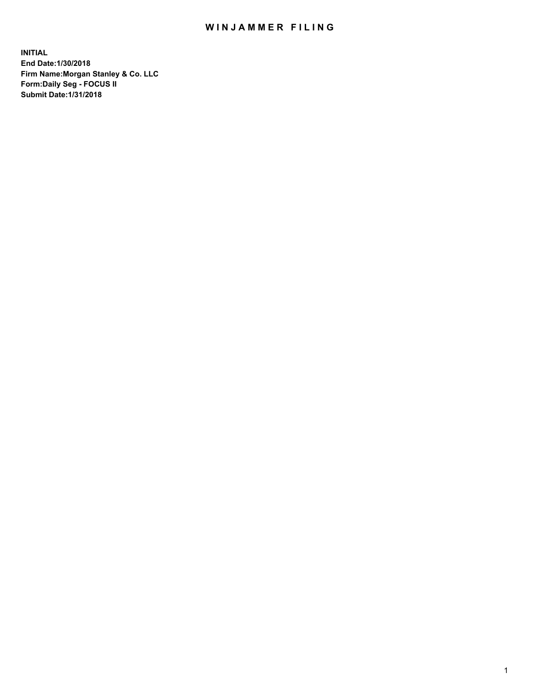## WIN JAMMER FILING

**INITIAL End Date:1/30/2018 Firm Name:Morgan Stanley & Co. LLC Form:Daily Seg - FOCUS II Submit Date:1/31/2018**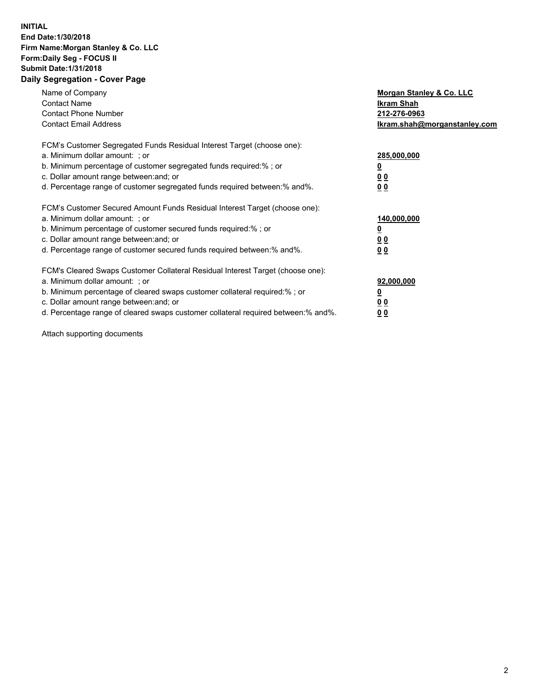## **INITIAL End Date:1/30/2018 Firm Name:Morgan Stanley & Co. LLC Form:Daily Seg - FOCUS II Submit Date:1/31/2018 Daily Segregation - Cover Page**

| Name of Company<br><b>Contact Name</b><br><b>Contact Phone Number</b><br><b>Contact Email Address</b>                                                                                                                                                                                                                          | Morgan Stanley & Co. LLC<br>Ikram Shah<br>212-276-0963<br>lkram.shah@morganstanley.com |
|--------------------------------------------------------------------------------------------------------------------------------------------------------------------------------------------------------------------------------------------------------------------------------------------------------------------------------|----------------------------------------------------------------------------------------|
| FCM's Customer Segregated Funds Residual Interest Target (choose one):<br>a. Minimum dollar amount: ; or<br>b. Minimum percentage of customer segregated funds required:%; or<br>c. Dollar amount range between: and; or<br>d. Percentage range of customer segregated funds required between: % and %.                        | 285,000,000<br>0 <sub>0</sub><br>00                                                    |
| FCM's Customer Secured Amount Funds Residual Interest Target (choose one):<br>a. Minimum dollar amount: ; or<br>b. Minimum percentage of customer secured funds required:%; or<br>c. Dollar amount range between: and; or<br>d. Percentage range of customer secured funds required between:% and%.                            | 140,000,000<br>0 <sub>0</sub><br>0 <sub>0</sub>                                        |
| FCM's Cleared Swaps Customer Collateral Residual Interest Target (choose one):<br>a. Minimum dollar amount: ; or<br>b. Minimum percentage of cleared swaps customer collateral required:% ; or<br>c. Dollar amount range between: and; or<br>d. Percentage range of cleared swaps customer collateral required between:% and%. | 92,000,000<br>0 <sub>0</sub><br>0 <sub>0</sub>                                         |

Attach supporting documents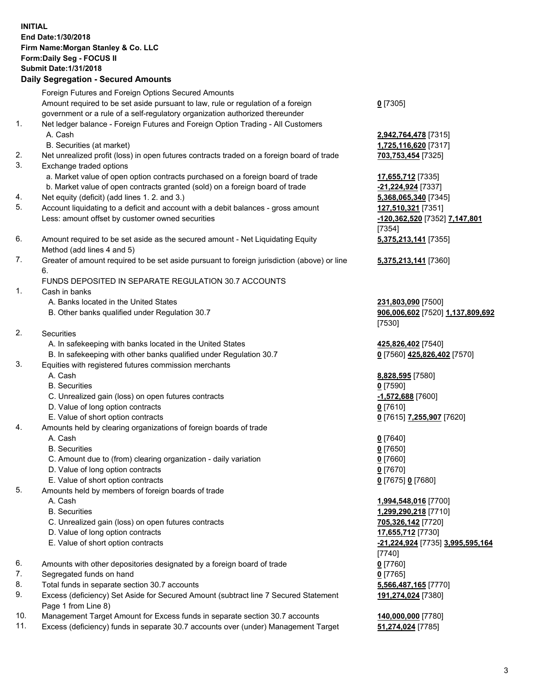## **INITIAL End Date:1/30/2018 Firm Name:Morgan Stanley & Co. LLC Form:Daily Seg - FOCUS II Submit Date:1/31/2018 Daily Segregation - Secured Amounts**

Foreign Futures and Foreign Options Secured Amounts

Amount required to be set aside pursuant to law, rule or regulation of a foreign government or a rule of a self-regulatory organization authorized thereunder

- 1. Net ledger balance Foreign Futures and Foreign Option Trading All Customers A. Cash **2,942,764,478** [7315]
	- B. Securities (at market) **1,725,116,620** [7317]
- 2. Net unrealized profit (loss) in open futures contracts traded on a foreign board of trade **703,753,454** [7325]
- 3. Exchange traded options
	- a. Market value of open option contracts purchased on a foreign board of trade **17,655,712** [7335]
	- b. Market value of open contracts granted (sold) on a foreign board of trade **-21,224,924** [7337]
- 4. Net equity (deficit) (add lines 1. 2. and 3.) **5,368,065,340** [7345]
- 5. Account liquidating to a deficit and account with a debit balances gross amount **127,510,321** [7351] Less: amount offset by customer owned securities **-120,362,520** [7352] **7,147,801**
- 6. Amount required to be set aside as the secured amount Net Liquidating Equity Method (add lines 4 and 5)
- 7. Greater of amount required to be set aside pursuant to foreign jurisdiction (above) or line 6.

## FUNDS DEPOSITED IN SEPARATE REGULATION 30.7 ACCOUNTS

- 1. Cash in banks
	- A. Banks located in the United States **231,803,090** [7500]
	- B. Other banks qualified under Regulation 30.7 **906,006,602** [7520] **1,137,809,692**
- 2. Securities
	- A. In safekeeping with banks located in the United States **425,826,402** [7540]
	- B. In safekeeping with other banks qualified under Regulation 30.7 **0** [7560] **425,826,402** [7570]
- 3. Equities with registered futures commission merchants
	-
	-
	- C. Unrealized gain (loss) on open futures contracts **-1,572,688** [7600]
	- D. Value of long option contracts **0** [7610]
- E. Value of short option contracts **0** [7615] **7,255,907** [7620]
- 4. Amounts held by clearing organizations of foreign boards of trade
	-
	-
	- C. Amount due to (from) clearing organization daily variation **0** [7660]
	- D. Value of long option contracts **0** [7670]
	- E. Value of short option contracts **0** [7675] **0** [7680]
- 5. Amounts held by members of foreign boards of trade
	-
	-
	- C. Unrealized gain (loss) on open futures contracts **705,326,142** [7720]
	- D. Value of long option contracts **17,655,712** [7730]
	- E. Value of short option contracts **-21,224,924** [7735] **3,995,595,164**
- 6. Amounts with other depositories designated by a foreign board of trade **0** [7760]
- 7. Segregated funds on hand **0** [7765]
- 8. Total funds in separate section 30.7 accounts **5,566,487,165** [7770]
- 9. Excess (deficiency) Set Aside for Secured Amount (subtract line 7 Secured Statement Page 1 from Line 8)
- 10. Management Target Amount for Excess funds in separate section 30.7 accounts **140,000,000** [7780]
- 11. Excess (deficiency) funds in separate 30.7 accounts over (under) Management Target **51,274,024** [7785]

**0** [7305]

[7354] **5,375,213,141** [7355]

**5,375,213,141** [7360]

[7530]

 A. Cash **8,828,595** [7580] B. Securities **0** [7590]

 A. Cash **0** [7640] B. Securities **0** [7650]

 A. Cash **1,994,548,016** [7700] B. Securities **1,299,290,218** [7710] [7740] **191,274,024** [7380]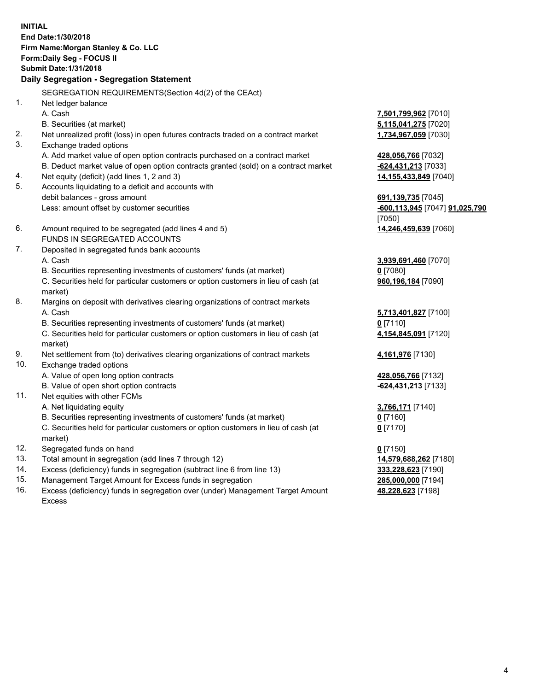**INITIAL End Date:1/30/2018 Firm Name:Morgan Stanley & Co. LLC Form:Daily Seg - FOCUS II Submit Date:1/31/2018 Daily Segregation - Segregation Statement** SEGREGATION REQUIREMENTS(Section 4d(2) of the CEAct) 1. Net ledger balance A. Cash **7,501,799,962** [7010] B. Securities (at market) **5,115,041,275** [7020] 2. Net unrealized profit (loss) in open futures contracts traded on a contract market **1,734,967,059** [7030] 3. Exchange traded options A. Add market value of open option contracts purchased on a contract market **428,056,766** [7032] B. Deduct market value of open option contracts granted (sold) on a contract market **-624,431,213** [7033] 4. Net equity (deficit) (add lines 1, 2 and 3) **14,155,433,849** [7040] 5. Accounts liquidating to a deficit and accounts with debit balances - gross amount **691,139,735** [7045] Less: amount offset by customer securities **-600,113,945** [7047] **91,025,790** [7050] 6. Amount required to be segregated (add lines 4 and 5) **14,246,459,639** [7060] FUNDS IN SEGREGATED ACCOUNTS 7. Deposited in segregated funds bank accounts A. Cash **3,939,691,460** [7070] B. Securities representing investments of customers' funds (at market) **0** [7080] C. Securities held for particular customers or option customers in lieu of cash (at market) **960,196,184** [7090] 8. Margins on deposit with derivatives clearing organizations of contract markets A. Cash **5,713,401,827** [7100] B. Securities representing investments of customers' funds (at market) **0** [7110] C. Securities held for particular customers or option customers in lieu of cash (at market) **4,154,845,091** [7120] 9. Net settlement from (to) derivatives clearing organizations of contract markets **4,161,976** [7130] 10. Exchange traded options A. Value of open long option contracts **428,056,766** [7132] B. Value of open short option contracts **-624,431,213** [7133] 11. Net equities with other FCMs A. Net liquidating equity **3,766,171** [7140] B. Securities representing investments of customers' funds (at market) **0** [7160] C. Securities held for particular customers or option customers in lieu of cash (at market) **0** [7170] 12. Segregated funds on hand **0** [7150] 13. Total amount in segregation (add lines 7 through 12) **14,579,688,262** [7180] 14. Excess (deficiency) funds in segregation (subtract line 6 from line 13) **333,228,623** [7190]

- 15. Management Target Amount for Excess funds in segregation **285,000,000** [7194]
- 16. Excess (deficiency) funds in segregation over (under) Management Target Amount Excess

**48,228,623** [7198]